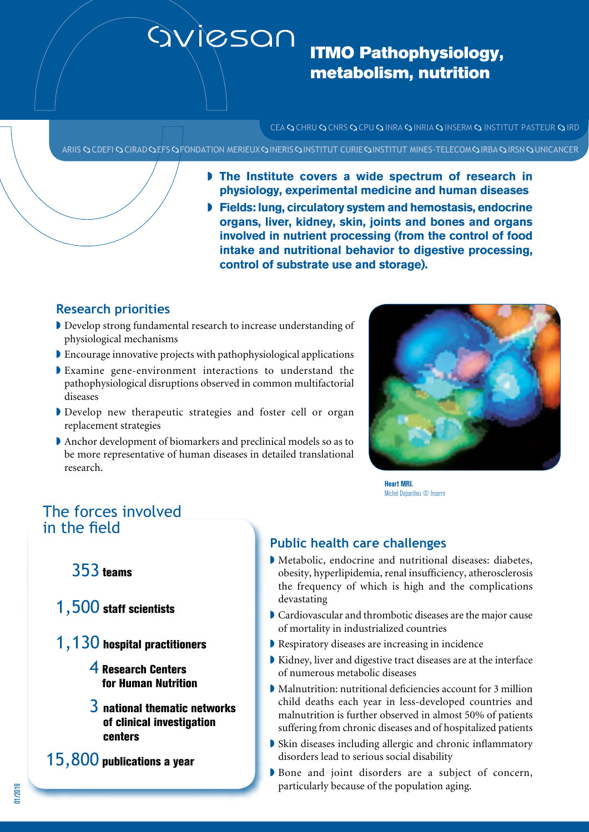# aviesan

# ITMO Pathophysiology, metabolism, nutrition

CEA Q CHRU Q CNRS Q CPU Q INRA Q INRIA Q INSERM Q INSTITUT PASTEUR Q IRD

ARIIS CODEFI COLRAD COEFS COFONDATION MERIEUX CONERIS CONSTITUT CURIE CONSTITUT MINES-TELECOM CORBA CORSN COUNICANCER

- If The Institute covers a wide spectrum of research in **physiology, experimental medicine and human diseases**
- **Fields: lung, circulatory system and hemostasis, endocrine organs, liver, kidney, skin, joints and bones and organs involved in nutrient processing (from the control of food intake and nutritional behavior to digestive processing, control of substrate use and storage).**

### **Research priorities**

- Develop strong fundamental research to increase understanding of physiological mechanisms
- $\blacktriangleright$  Encourage innovative projects with pathophysiological applications
- $\blacktriangleright$  Examine gene-environment interactions to understand the pathophysiological disruptions observed in common multifactorial diseases
- Develop new therapeutic strategies and foster cell or organ replacement strategies
- Anchor development of biomarkers and preclinical models so as to be more representative of human diseases in detailed translational research.



Heart MRI. Michel Depardieu © Inserm

# The forces involved in the field

## 353 teams

- 1,500 staff scientists
- 1,130 hospital practitioners
	- 4 Research Centers for Human Nutrition
	- $3$  national thematic networks of clinical investigation centers
- 15,800 publications a year

## **Public health care challenges**

- $\blacktriangleright$  Metabolic, endocrine and nutritional diseases: diabetes, obesity, hyperlipidemia, renal insufficiency, atherosclerosis the frequency of which is high and the complications devastating
- $\blacktriangleright$  Cardiovascular and thrombotic diseases are the major cause of mortality in industrialized countries
- $\blacktriangleright$  Respiratory diseases are increasing in incidence
- $\blacktriangleright$  Kidney, liver and digestive tract diseases are at the interface of numerous metabolic diseases
- $\blacktriangleright$  Malnutrition: nutritional deficiencies account for 3 million child deaths each year in less-developed countries and malnutrition is further observed in almost 50% of patients suffering from chronic diseases and of hospitalized patients
- $\blacktriangleright$  Skin diseases including allergic and chronic inflammatory disorders lead to serious social disability
- Bone and joint disorders are a subject of concern, particularly because of the population aging.